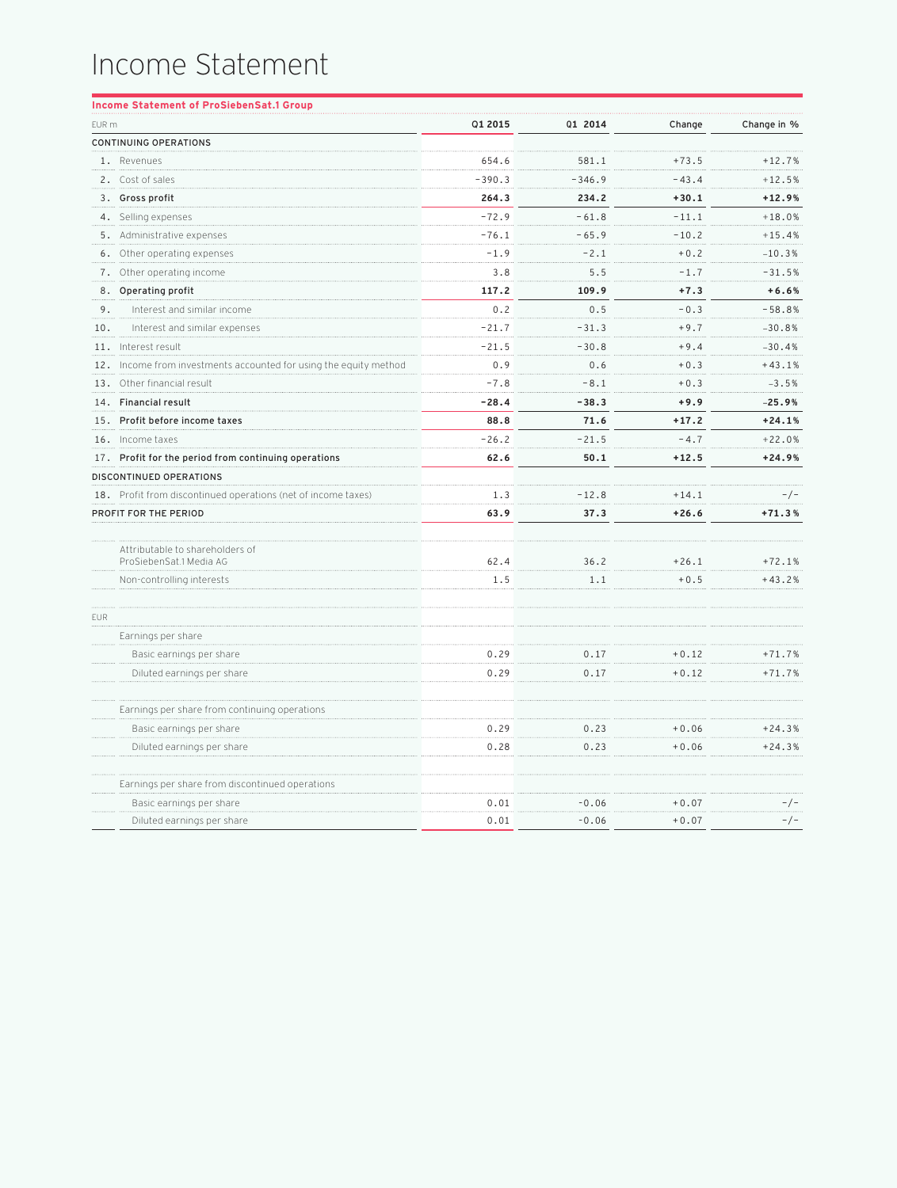## Income Statement

|       | <b>Income Statement of ProSiebenSat.1 Group</b>                   |          |          |         |             |
|-------|-------------------------------------------------------------------|----------|----------|---------|-------------|
| EUR m |                                                                   | Q1 2015  | Q1 2014  | Change  | Change in % |
|       | <b>CONTINUING OPERATIONS</b>                                      |          |          |         |             |
|       | 1. Revenues                                                       | 654.6    | 581.1    | $+73.5$ | $+12.7%$    |
|       | 2. Cost of sales                                                  | $-390.3$ | $-346.9$ | $-43.4$ | $+12.5%$    |
|       | 3. Gross profit                                                   | 264.3    | 234.2    | $+30.1$ | $+12.9%$    |
|       | 4. Selling expenses                                               | $-72.9$  | $-61.8$  | $-11.1$ | $+18.0%$    |
|       | 5. Administrative expenses                                        | $-76.1$  | $-65.9$  | $-10.2$ | $+15.4%$    |
|       | 6. Other operating expenses                                       | $-1.9$   | $-2.1$   | $+0.2$  | $-10.3%$    |
|       | 7. Other operating income                                         | 3.8      | 5.5      | $-1.7$  | $-31.5%$    |
|       | 8. Operating profit                                               | 117.2    | 109.9    | $+7.3$  | $+6.6%$     |
| 9.    | Interest and similar income                                       | 0.2      | 0.5      | $-0.3$  | $-58.8%$    |
| 10.   | Interest and similar expenses                                     | $-21.7$  | $-31.3$  | $+9.7$  | $-30.8%$    |
|       | 11. Interest result                                               | $-21.5$  | $-30.8$  | $+9.4$  | $-30.4%$    |
|       | 12. Income from investments accounted for using the equity method | 0.9      | 0.6      | $+0.3$  | $+43.1%$    |
|       | 13. Other financial result                                        | $-7.8$   | $-8.1$   | $+0.3$  | $-3.5%$     |
|       | 14. Financial result                                              | $-28.4$  | $-38.3$  | $+9.9$  | $-25.9%$    |
|       | 15. Profit before income taxes                                    | 88.8     | 71.6     | $+17.2$ | $+24.1%$    |
|       | 16. Income taxes                                                  | $-26.2$  | $-21.5$  | $-4.7$  | $+22.0%$    |
|       | 17. Profit for the period from continuing operations              | 62.6     | 50.1     | $+12.5$ | $+24.9%$    |
|       | DISCONTINUED OPERATIONS                                           |          |          |         |             |
|       | 18. Profit from discontinued operations (net of income taxes)     | 1.3      | $-12.8$  | $+14.1$ | $-/-$       |
|       | PROFIT FOR THE PERIOD                                             | 63.9     | 37.3     | $+26.6$ | $+71.3%$    |
|       |                                                                   |          |          |         |             |
|       | Attributable to shareholders of<br>ProSiebenSat.1 Media AG        | 62.4     | 36.2     | $+26.1$ | $+72.1%$    |
|       | Non-controlling interests                                         | 1.5      | 1.1      | $+0.5$  | $+43.2%$    |
|       |                                                                   |          |          |         |             |
| EUR   |                                                                   |          |          |         |             |
|       | Earnings per share                                                |          |          |         |             |
|       | Basic earnings per share                                          | 0.29     | 0.17     | $+0.12$ | $+71.7%$    |
|       | Diluted earnings per share                                        | 0.29     | 0.17     | $+0.12$ | $+71.7%$    |
|       | Earnings per share from continuing operations                     |          |          |         |             |
|       | Basic earnings per share                                          | 0.29     | 0.23     | $+0.06$ | $+24.3%$    |
|       | Diluted earnings per share                                        | 0.28     | 0.23     | $+0.06$ | $+24.3%$    |
|       | Earnings per share from discontinued operations                   |          |          |         |             |
|       | Basic earnings per share                                          | 0.01     | $-0.06$  | $+0.07$ | $-/-$       |
|       | Diluted earnings per share                                        | 0.01     | $-0.06$  | $+0.07$ | $-/-$       |